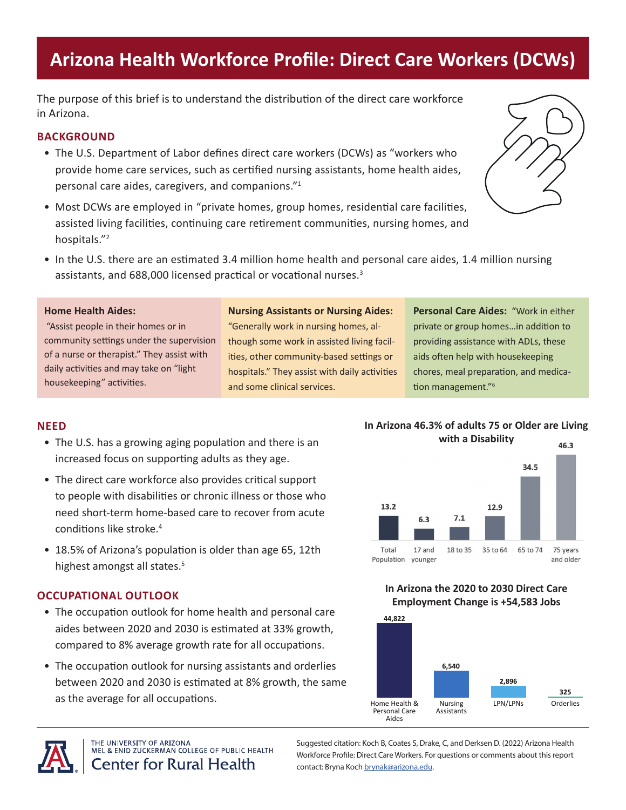# **Arizona Health Workforce Profile: Direct Care Workers (DCWs)**

The purpose of this brief is to understand the distribution of the direct care workforce in Arizona.

### **BACKGROUND**

- The U.S. Department of Labor defines direct care workers (DCWs) as "workers who provide home care services, such as certified nursing assistants, home health aides, personal care aides, caregivers, and companions."<sup>1</sup>
- Most DCWs are employed in "private homes, group homes, residential care facilities, assisted living facilities, continuing care retirement communities, nursing homes, and hospitals."<sup>2</sup>



• In the U.S. there are an estimated 3.4 million home health and personal care aides, 1.4 million nursing assistants, and 688,000 licensed practical or vocational nurses.<sup>3</sup>

### **Home Health Aides:**

 "Assist people in their homes or in community settings under the supervision of a nurse or therapist." They assist with daily activities and may take on "light housekeeping" activities.

#### **Nursing Assistants or Nursing Aides:**

"Generally work in nursing homes, although some work in assisted living facilities, other community-based settings or hospitals." They assist with daily activities and some clinical services.

**Personal Care Aides:** "Work in either private or group homes…in addition to providing assistance with ADLs, these aids often help with housekeeping chores, meal preparation, and medication management."6

### **NEED**

- The U.S. has a growing aging population and there is an increased focus on supporting adults as they age.
- The direct care workforce also provides critical support to people with disabilities or chronic illness or those who need short-term home-based care to recover from acute conditions like stroke.4
- 18.5% of Arizona's population is older than age 65, 12th highest amongst all states.<sup>5</sup>

### **OCCUPATIONAL OUTLOOK**

- The occupation outlook for home health and personal care aides between 2020 and 2030 is estimated at 33% growth, compared to 8% average growth rate for all occupations.
- The occupation outlook for nursing assistants and orderlies between 2020 and 2030 is estimated at 8% growth, the same as the average for all occupations.



**In Arizona 46.3% of adults 75 or Older are Living** 

# **In Arizona the 2020 to 2030 Direct Care**

# **Employment Change is +54,583 Jobs**





THE UNIVERSITY OF ARIZONA MEL & ENID ZUCKERMAN COLLEGE OF PUBLIC HEALTH **Center for Rural Health** 

Suggested citation: Koch B, Coates S, Drake, C, and Derksen D. (2022) Arizona Health Workforce Profile: Direct Care Workers. For questions or comments about this report contact: Bryna Koch [brynak@arizona.edu](mailto:brynak@arizona.edu).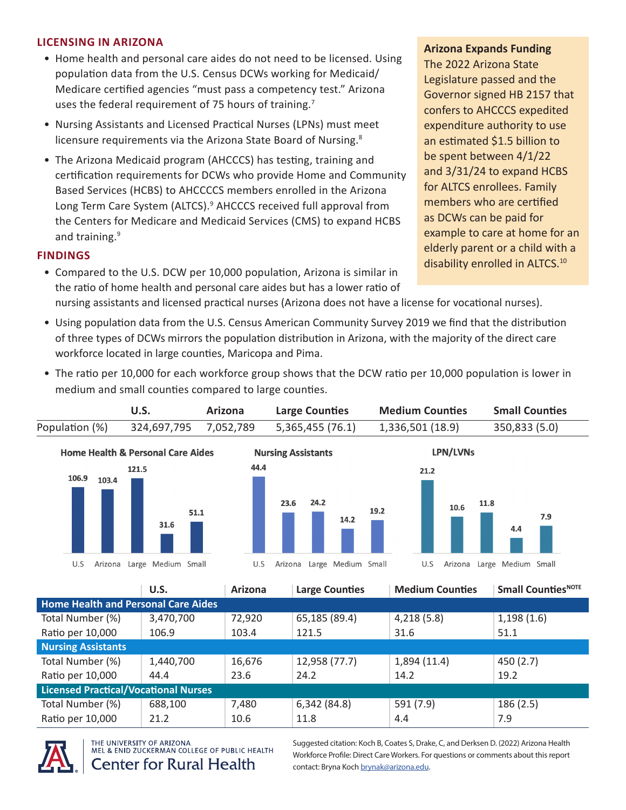## **LICENSING IN ARIZONA**

- Home health and personal care aides do not need to be licensed. Using population data from the U.S. Census DCWs working for Medicaid/ Medicare certified agencies "must pass a competency test." Arizona uses the federal requirement of 75 hours of training.<sup>7</sup>
- Nursing Assistants and Licensed Practical Nurses (LPNs) must meet licensure requirements via the Arizona State Board of Nursing.<sup>8</sup>

medium and small counties compared to large counties.

• The Arizona Medicaid program (AHCCCS) has testing, training and certification requirements for DCWs who provide Home and Community Based Services (HCBS) to AHCCCCS members enrolled in the Arizona Long Term Care System (ALTCS).<sup>9</sup> AHCCCS received full approval from the Centers for Medicare and Medicaid Services (CMS) to expand HCBS and training.<sup>9</sup>

## **FINDINGS**

- Compared to the U.S. DCW per 10,000 population, Arizona is similar in the ratio of home health and personal care aides but has a lower ratio of nursing assistants and licensed practical nurses (Arizona does not have a license for vocational nurses).
- Using population data from the U.S. Census American Community Survey 2019 we find that the distribution of three types of DCWs mirrors the population distribution in Arizona, with the majority of the direct care workforce located in large counties, Maricopa and Pima.

• The ratio per 10,000 for each workforce group shows that the DCW ratio per 10,000 population is lower in

**U.S. Arizona Large Counties Medium Counties Small Counties** Population (%) 324,697,795 7,052,789 5,365,455 (76.1) 1,336,501 (18.9) 350,833 (5.0) **Home Health & Personal Care Aides Nursing Assistants** LPN/LVNs 44.4 121.5  $21.2$ 106.9 103.4 24.2 11.8 23.6 10.6 19.2 51.1 7.9 14.2 31.6 4.4 Arizona Large Medium Small U.S Arizona Large Medium Small Arizona Large Medium Small U.S U.S

U.S. **Arizona Large Counties Medium Counties Small Counties**<sup>NOTE</sup> **Home Health and Personal Care Aides** Total Number (%) 3,470,700 72,920 65,185 (89.4) 4,218 (5.8) 1,198 (1.6) Ratio per 10,000 106.9 103.4 121.5 31.6 51.1 **Nursing Assistants** Total Number (%)  $\begin{array}{|c|c|c|c|c|c|c|c|c|}\n\hline\n1,440,700 & 16,676 & 12,958 & (77.7) & 1,894 & (11.4) & 450 & (2.7)\n\hline\n\end{array}$ Ratio per 10,000  $\begin{array}{|c|c|c|c|c|c|} \hline \end{array}$  44.4  $\begin{array}{|c|c|c|c|c|c|} \hline \end{array}$  23.6  $\begin{array}{|c|c|c|c|c|} \hline \end{array}$  24.2  $\begin{array}{|c|c|c|c|c|} \hline \end{array}$  14.2  $\begin{array}{|c|c|c|c|c|} \hline \end{array}$ **Licensed Practical/Vocational Nurses** Total Number (%) 688,100 7,480 6,342 (84.8) 591 (7.9) 186 (2.5) Ratio per 10,000 21.2 10.6 11.8 4.4 7.9



THE UNIVERSITY OF ARIZONA MEL & ENID ZUCKERMAN COLLEGE OF PUBLIC HEALTH

**Center for Rural Health** 

Suggested citation: Koch B, Coates S, Drake, C, and Derksen D. (2022) Arizona Health Workforce Profile: Direct Care Workers. For questions or comments about this report contact: Bryna Koch [brynak@arizona.edu](mailto:brynak@arizona.edu).

**Arizona Expands Funding** The 2022 Arizona State

Legislature passed and the Governor signed HB 2157 that confers to AHCCCS expedited expenditure authority to use an estimated \$1.5 billion to be spent between 4/1/22 and 3/31/24 to expand HCBS for ALTCS enrollees. Family members who are certified as DCWs can be paid for example to care at home for an elderly parent or a child with a disability enrolled in ALTCS.<sup>10</sup>